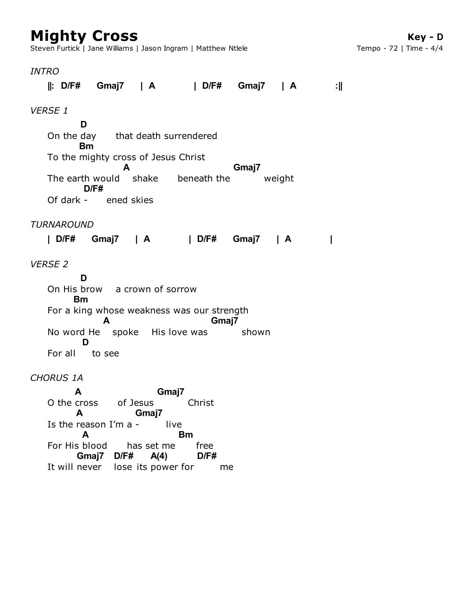# **Mighty Cross**

Steven Furtick | Jane Williams | Jason Ingram | Matthew Ntlele

#### *INTRO*

**||: D/F# Gmaj7 | A | D/F# Gmaj7 | A :||**

## *VERSE 1*

On the day that death surrendered To the mighty cross of Jesus Christ The earth would shake beneath the weight Of dark - ened skies **D Bm A Gmaj7 D/F#**

# *TURNAROUND*

**| D/F# Gmaj7 | A | D/F# Gmaj7 | A |**

# *VERSE 2*

On His brow a crown of sorrow For a king whose weakness was our strength No word He spoke His love was shown For all to see **D Bm A Gmaj7 D**

# *CHORUS 1A*

O the cross of Jesus Christ Is the reason  $I'm$  a - live For His blood has set me free It will never lose its power for me **A Gmaj7 A Gmaj7 A Bm Gmaj7 D/F# A(4) D/F#**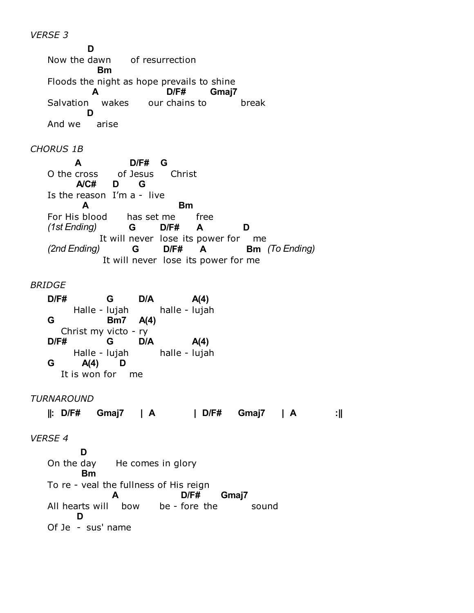*VERSE 3*

Now the dawn of resurrection Floods the night as hope prevails to shine Salvation wakes our chains to break And we arise **D Bm A D/F# Gmaj7 D**

# *CHORUS 1B*

O the cross of Jesus Christ Is the reason I'm a - live has set me free It will never lose its power for me It will never lose its power for me O the cross **A D/F# G A/C# D G** For His blood **A Bm** *(1st Ending)* **G D/F# A D** *(2nd Ending)* **G D/F# A Bm** *(To Ending)*

### *BRIDGE*

Halle - lujah halle -Christ my victo - ry Halle - lujah halle -It is won for me **D/F# G D/A** halle - lujah **A(4) G Bm7 A(4) D/F# G D/A** halle - lujah **A(4) G A(4) D**

# *TURNAROUND*

**||: D/F# Gmaj7 | A | D/F# Gmaj7 | A :||**

# *VERSE 4*

On the day He comes in glory To re - veal the fullness of His reign All hearts will bow be - fore the sound Of Je - sus' name **D Bm A D/F# Gmaj7 D**